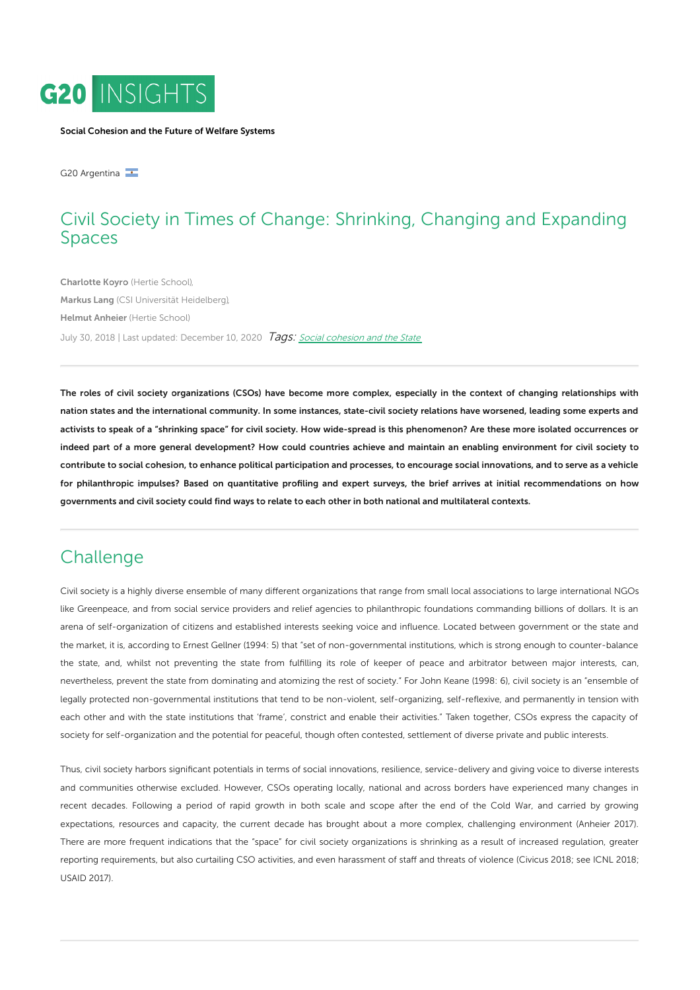

Social [Cohesion](https://www.g20-insights.org/policy_area/social-cohesion-global-governance-and-the-future-of-politics/) and the Future of Welfare Systems

G20 Argentina

## Civil Society in Times of Change: Shrinking, Changing and Expanding Spaces

[Charlotte](https://www.g20-insights.org/authors/charlotte-koyro/) Koyro (Hertie [School\),](https://www.g20-insights.org/think_tanks/hertie-school-governance/) [Markus](https://www.g20-insights.org/authors/markus-lang/) Lang (CSI Universität [Heidelberg\),](https://www.g20-insights.org/think_tanks/csi-universitat-heidelberg/) Helmut [Anheier](https://www.g20-insights.org/authors/helmut-anheier/) (Hertie [School\)](https://www.g20-insights.org/think_tanks/hertie-school-governance/) July 30, 2018 | Last updated: December 10, 2020 *Tags: Social [cohesion](/tag/social-cohesion-and-the-state) and the State* 

The roles of civil society organizations (CSOs) have become more complex, especially in the context of changing relationships with nation states and the international community. In some instances, state-civil society relations have worsened, leading some experts and activists to speak of a "shrinking space" for civil society. How wide-spread is this phenomenon? Are these more isolated occurrences or indeed part of a more general development? How could countries achieve and maintain an enabling environment for civil society to contribute to social cohesion, to enhance political participation and processes, to encourage social innovations, and to serve as a vehicle for philanthropic impulses? Based on quantitative profiling and expert surveys, the brief arrives at initial recommendations on how governments and civil society could find ways to relate to each other in both national and multilateral contexts.

### **Challenge**

Civil society is a highly diverse ensemble of many different organizations that range from small local associations to large international NGOs like Greenpeace, and from social service providers and relief agencies to philanthropic foundations commanding billions of dollars. It is an arena of self-organization of citizens and established interests seeking voice and influence. Located between government or the state and the market, it is, according to Ernest Gellner (1994: 5) that "set of non-governmental institutions, which is strong enough to counter-balance the state, and, whilst not preventing the state from fulfilling its role of keeper of peace and arbitrator between major interests, can, nevertheless, prevent the state from dominating and atomizing the rest of society." For John Keane (1998: 6), civil society is an "ensemble of legally protected non-governmental institutions that tend to be non-violent, self-organizing, self-reflexive, and permanently in tension with each other and with the state institutions that 'frame', constrict and enable their activities." Taken together, CSOs express the capacity of society for self-organization and the potential for peaceful, though often contested, settlement of diverse private and public interests.

Thus, civil society harbors significant potentials in terms of social innovations, resilience, service-delivery and giving voice to diverse interests and communities otherwise excluded. However, CSOs operating locally, national and across borders have experienced many changes in recent decades. Following a period of rapid growth in both scale and scope after the end of the Cold War, and carried by growing expectations, resources and capacity, the current decade has brought about a more complex, challenging environment (Anheier 2017). There are more frequent indications that the "space" for civil society organizations is shrinking as a result of increased regulation, greater reporting requirements, but also curtailing CSO activities, and even harassment of staff and threats of violence (Civicus 2018; see ICNL 2018; USAID 2017).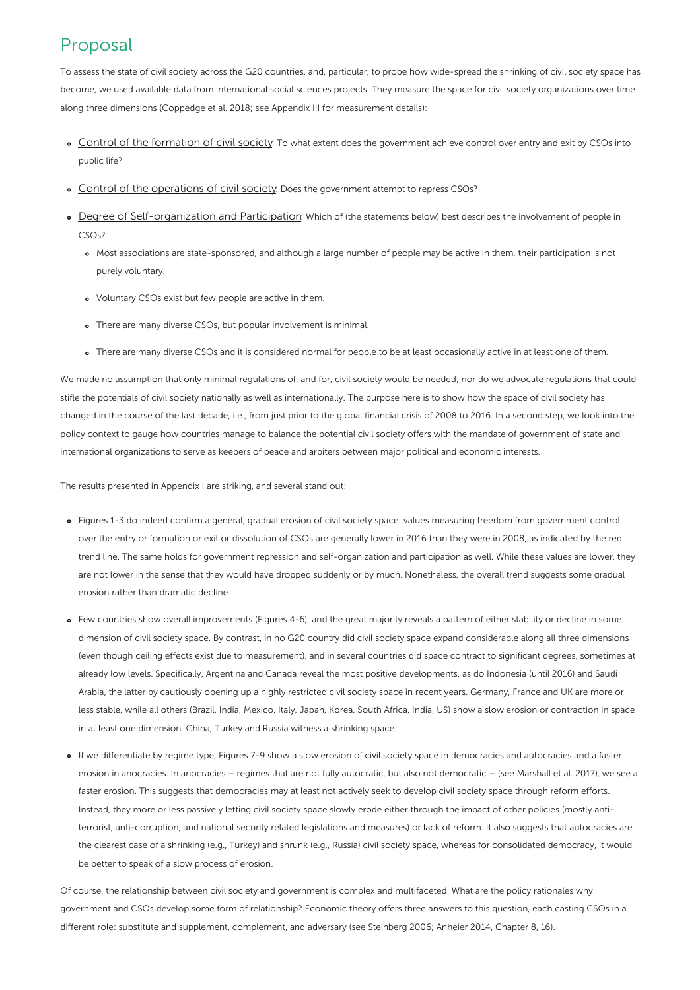# Proposal

To assess the state of civil society across the G20 countries, and, particular, to probe how wide-spread the shrinking of civil society space has become, we used available data from international social sciences projects. They measure the space for civil society organizations over time along three dimensions (Coppedge et al. 2018; see Appendix III for measurement details):

- Control of the formation of civil society: To what extent does the government achieve control over entry and exit by CSOs into public life?
- Control of the operations of civil society: Does the government attempt to repress CSOs?
- o Degree of Self-organization and Participation: Which of (the statements below) best describes the involvement of people in CSOs?
	- Most associations are state-sponsored, and although a large number of people may be active in them, their participation is not purely voluntary.
	- Voluntary CSOs exist but few people are active in them.
	- There are many diverse CSOs, but popular involvement is minimal.
	- There are many diverse CSOs and it is considered normal for people to be at least occasionally active in at least one of them.

We made no assumption that only minimal regulations of, and for, civil society would be needed; nor do we advocate regulations that could stifle the potentials of civil society nationally as well as internationally. The purpose here is to show how the space of civil society has changed in the course of the last decade, i.e., from just prior to the global financial crisis of 2008 to 2016. In a second step, we look into the policy context to gauge how countries manage to balance the potential civil society offers with the mandate of government of state and international organizations to serve as keepers of peace and arbiters between major political and economic interests.

The results presented in Appendix I are striking, and several stand out:

- Figures 1-3 do indeed confirm a general, gradual erosion of civil society space: values measuring freedom from government control over the entry or formation or exit or dissolution of CSOs are generally lower in 2016 than they were in 2008, as indicated by the red trend line. The same holds for government repression and self-organization and participation as well. While these values are lower, they are not lower in the sense that they would have dropped suddenly or by much. Nonetheless, the overall trend suggests some gradual erosion rather than dramatic decline.
- Few countries show overall improvements (Figures 4-6), and the great majority reveals a pattern of either stability or decline in some dimension of civil society space. By contrast, in no G20 country did civil society space expand considerable along all three dimensions (even though ceiling effects exist due to measurement), and in several countries did space contract to significant degrees, sometimes at already low levels. Specifically, Argentina and Canada reveal the most positive developments, as do Indonesia (until 2016) and Saudi Arabia, the latter by cautiously opening up a highly restricted civil society space in recent years. Germany, France and UK are more or less stable, while all others (Brazil, India, Mexico, Italy, Japan, Korea, South Africa, India, US) show a slow erosion or contraction in space in at least one dimension. China, Turkey and Russia witness a shrinking space.
- If we differentiate by regime type, Figures 7-9 show a slow erosion of civil society space in democracies and autocracies and a faster erosion in anocracies. In anocracies – regimes that are not fully autocratic, but also not democratic – (see Marshall et al. 2017), we see a faster erosion. This suggests that democracies may at least not actively seek to develop civil society space through reform efforts. Instead, they more or less passively letting civil society space slowly erode either through the impact of other policies (mostly antiterrorist, anti-corruption, and national security related legislations and measures) or lack of reform. It also suggests that autocracies are the clearest case of a shrinking (e.g., Turkey) and shrunk (e.g., Russia) civil society space, whereas for consolidated democracy, it would be better to speak of a slow process of erosion.

Of course, the relationship between civil society and government is complex and multifaceted. What are the policy rationales why government and CSOs develop some form of relationship? Economic theory offers three answers to this question, each casting CSOs in a different role: substitute and supplement, complement, and adversary (see Steinberg 2006; Anheier 2014, Chapter 8, 16).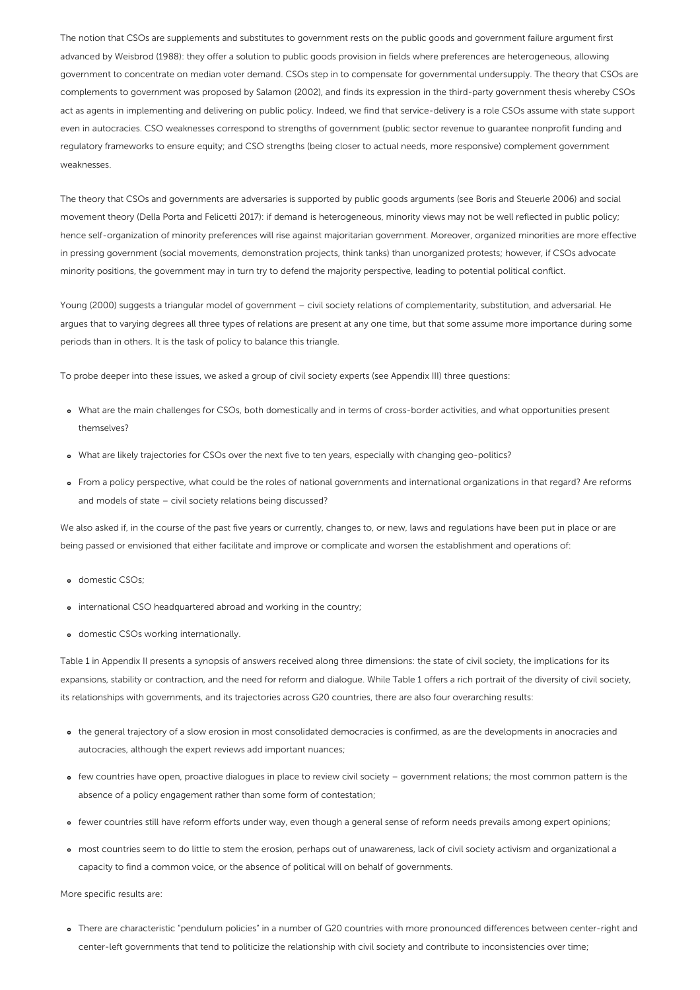The notion that CSOs are supplements and substitutes to government rests on the public goods and government failure argument first advanced by Weisbrod (1988): they offer a solution to public goods provision in fields where preferences are heterogeneous, allowing government to concentrate on median voter demand. CSOs step in to compensate for governmental undersupply. The theory that CSOs are complements to government was proposed by Salamon (2002), and finds its expression in the third-party government thesis whereby CSOs act as agents in implementing and delivering on public policy. Indeed, we find that service-delivery is a role CSOs assume with state support even in autocracies. CSO weaknesses correspond to strengths of government (public sector revenue to guarantee nonprofit funding and regulatory frameworks to ensure equity; and CSO strengths (being closer to actual needs, more responsive) complement government weaknesses.

The theory that CSOs and governments are adversaries is supported by public goods arguments (see Boris and Steuerle 2006) and social movement theory (Della Porta and Felicetti 2017): if demand is heterogeneous, minority views may not be well reflected in public policy; hence self-organization of minority preferences will rise against majoritarian government. Moreover, organized minorities are more effective in pressing government (social movements, demonstration projects, think tanks) than unorganized protests; however, if CSOs advocate minority positions, the government may in turn try to defend the majority perspective, leading to potential political conflict.

Young (2000) suggests a triangular model of government – civil society relations of complementarity, substitution, and adversarial. He argues that to varying degrees all three types of relations are present at any one time, but that some assume more importance during some periods than in others. It is the task of policy to balance this triangle.

To probe deeper into these issues, we asked a group of civil society experts (see Appendix III) three questions:

- What are the main challenges for CSOs, both domestically and in terms of cross-border activities, and what opportunities present themselves?
- What are likely trajectories for CSOs over the next five to ten years, especially with changing geo-politics?
- From a policy perspective, what could be the roles of national governments and international organizations in that regard? Are reforms and models of state – civil society relations being discussed?

We also asked if, in the course of the past five years or currently, changes to, or new, laws and regulations have been put in place or are being passed or envisioned that either facilitate and improve or complicate and worsen the establishment and operations of:

- o domestic CSOs;
- international CSO headquartered abroad and working in the country;
- domestic CSOs working internationally.

Table 1 in Appendix II presents a synopsis of answers received along three dimensions: the state of civil society, the implications for its expansions, stability or contraction, and the need for reform and dialogue. While Table 1 offers a rich portrait of the diversity of civil society, its relationships with governments, and its trajectories across G20 countries, there are also four overarching results:

- the general trajectory of a slow erosion in most consolidated democracies is confirmed, as are the developments in anocracies and autocracies, although the expert reviews add important nuances;
- few countries have open, proactive dialogues in place to review civil society government relations; the most common pattern is the absence of a policy engagement rather than some form of contestation;
- fewer countries still have reform efforts under way, even though a general sense of reform needs prevails among expert opinions;
- most countries seem to do little to stem the erosion, perhaps out of unawareness, lack of civil society activism and organizational a capacity to find a common voice, or the absence of political will on behalf of governments.

More specific results are:

There are characteristic "pendulum policies" in a number of G20 countries with more pronounced differences between center-right and center-left governments that tend to politicize the relationship with civil society and contribute to inconsistencies over time;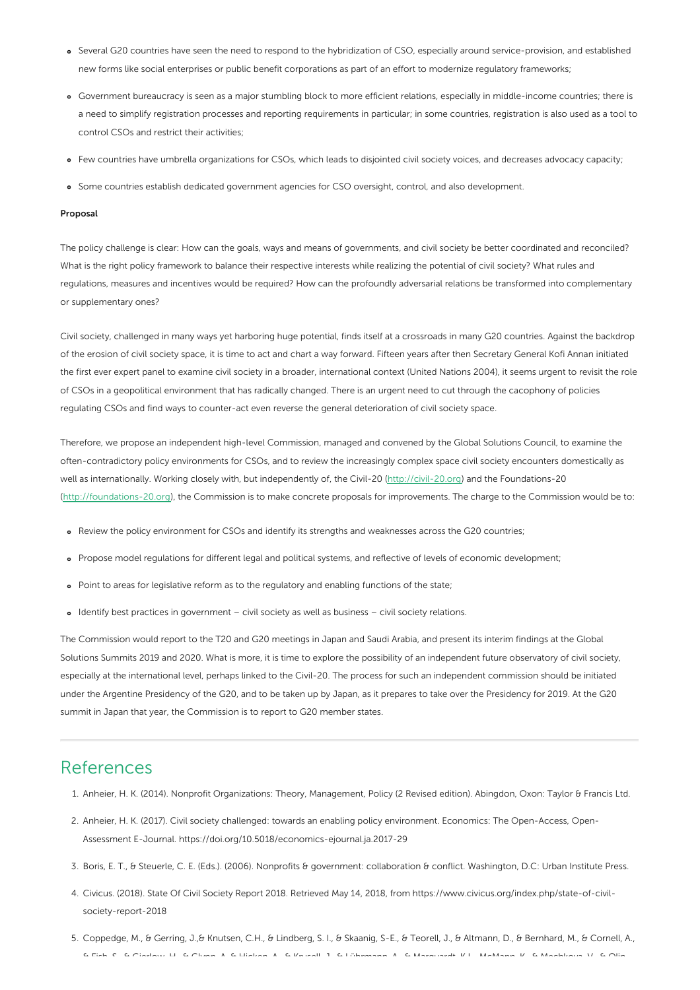- Several G20 countries have seen the need to respond to the hybridization of CSO, especially around service-provision, and established new forms like social enterprises or public benefit corporations as part of an effort to modernize regulatory frameworks;
- Government bureaucracy is seen as a major stumbling block to more efficient relations, especially in middle-income countries; there is a need to simplify registration processes and reporting requirements in particular; in some countries, registration is also used as a tool to control CSOs and restrict their activities;
- Few countries have umbrella organizations for CSOs, which leads to disjointed civil society voices, and decreases advocacy capacity;
- Some countries establish dedicated government agencies for CSO oversight, control, and also development.

#### Proposal

The policy challenge is clear: How can the goals, ways and means of governments, and civil society be better coordinated and reconciled? What is the right policy framework to balance their respective interests while realizing the potential of civil society? What rules and regulations, measures and incentives would be required? How can the profoundly adversarial relations be transformed into complementary or supplementary ones?

Civil society, challenged in many ways yet harboring huge potential, finds itself at a crossroads in many G20 countries. Against the backdrop of the erosion of civil society space, it is time to act and chart a way forward. Fifteen years after then Secretary General Kofi Annan initiated the first ever expert panel to examine civil society in a broader, international context (United Nations 2004), it seems urgent to revisit the role of CSOs in a geopolitical environment that has radically changed. There is an urgent need to cut through the cacophony of policies regulating CSOs and find ways to counter-act even reverse the general deterioration of civil society space.

Therefore, we propose an independent high-level Commission, managed and convened by the Global Solutions Council, to examine the often-contradictory policy environments for CSOs, and to review the increasingly complex space civil society encounters domestically as well as internationally. Working closely with, but independently of, the Civil-20 [\(http://civil-20.org](http://civil-20.org)) and the Foundations-20 [\(http://foundations-20.org](http://foundations-20.org)), the Commission is to make concrete proposals for improvements. The charge to the Commission would be to:

- Review the policy environment for CSOs and identify its strengths and weaknesses across the G20 countries;
- Propose model regulations for different legal and political systems, and reflective of levels of economic development;
- Point to areas for legislative reform as to the regulatory and enabling functions of the state;
- Identify best practices in government civil society as well as business civil society relations.

The Commission would report to the T20 and G20 meetings in Japan and Saudi Arabia, and present its interim findings at the Global Solutions Summits 2019 and 2020. What is more, it is time to explore the possibility of an independent future observatory of civil society, especially at the international level, perhaps linked to the Civil-20. The process for such an independent commission should be initiated under the Argentine Presidency of the G20, and to be taken up by Japan, as it prepares to take over the Presidency for 2019. At the G20 summit in Japan that year, the Commission is to report to G20 member states.

### References

- 1. Anheier, H. K. (2014). Nonprofit Organizations: Theory, Management, Policy (2 Revised edition). Abingdon, Oxon: Taylor & Francis Ltd.
- 2. Anheier, H. K. (2017). Civil society challenged: towards an enabling policy environment. Economics: The Open-Access, Open-Assessment E-Journal. https://doi.org/10.5018/economics-ejournal.ja.2017-29
- 3. Boris, E. T., & Steuerle, C. E. (Eds.). (2006). Nonprofits & government: collaboration & conflict. Washington, D.C: Urban Institute Press.
- 4. Civicus. (2018). State Of Civil Society Report 2018. Retrieved May 14, 2018, from https://www.civicus.org/index.php/state-of-civilsociety-report-2018
- 5. Coppedge, M., & Gerring, J.,& Knutsen, C.H., & Lindberg, S. I., & Skaanig, S-E., & Teorell, J., & Altmann, D., & Bernhard, M., & Cornell, A., & Fish, S., & Gierlow, H., & Glynn, A, & Hicken, A., & Krusell, J., & Lührmann, A., & Marquardt, K.L., McMann, K., & Mechkova, V., & Olin,